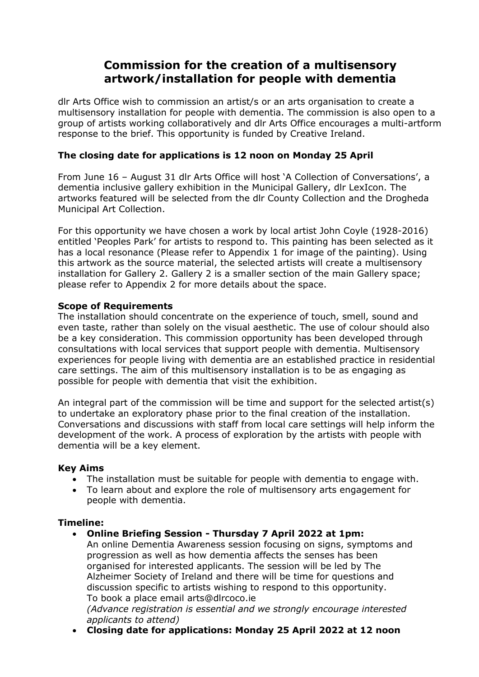# **Commission for the creation of a multisensory artwork/installation for people with dementia**

dlr Arts Office wish to commission an artist/s or an arts organisation to create a multisensory installation for people with dementia. The commission is also open to a group of artists working collaboratively and dlr Arts Office encourages a multi-artform response to the brief. This opportunity is funded by Creative Ireland.

# **The closing date for applications is 12 noon on Monday 25 April**

From June 16 – August 31 dlr Arts Office will host 'A Collection of Conversations', a dementia inclusive gallery exhibition in the Municipal Gallery, dlr LexIcon. The artworks featured will be selected from the dlr County Collection and the Drogheda Municipal Art Collection.

For this opportunity we have chosen a work by local artist John Coyle (1928-2016) entitled 'Peoples Park' for artists to respond to. This painting has been selected as it has a local resonance (Please refer to Appendix 1 for image of the painting). Using this artwork as the source material, the selected artists will create a multisensory installation for Gallery 2. Gallery 2 is a smaller section of the main Gallery space; please refer to Appendix 2 for more details about the space.

# **Scope of Requirements**

The installation should concentrate on the experience of touch, smell, sound and even taste, rather than solely on the visual aesthetic. The use of colour should also be a key consideration. This commission opportunity has been developed through consultations with local services that support people with dementia. Multisensory experiences for people living with dementia are an established practice in residential care settings. The aim of this multisensory installation is to be as engaging as possible for people with dementia that visit the exhibition.

An integral part of the commission will be time and support for the selected artist(s) to undertake an exploratory phase prior to the final creation of the installation. Conversations and discussions with staff from local care settings will help inform the development of the work. A process of exploration by the artists with people with dementia will be a key element.

# **Key Aims**

- The installation must be suitable for people with dementia to engage with.
- To learn about and explore the role of multisensory arts engagement for people with dementia.

#### **Timeline:**

• **Online Briefing Session - Thursday 7 April 2022 at 1pm:** An online Dementia Awareness session focusing on signs, symptoms and progression as well as how dementia affects the senses has been organised for interested applicants. The session will be led by The Alzheimer Society of Ireland and there will be time for questions and discussion specific to artists wishing to respond to this opportunity. To book a place email arts@dlrcoco.ie

*(Advance registration is essential and we strongly encourage interested applicants to attend)*

• **Closing date for applications: Monday 25 April 2022 at 12 noon**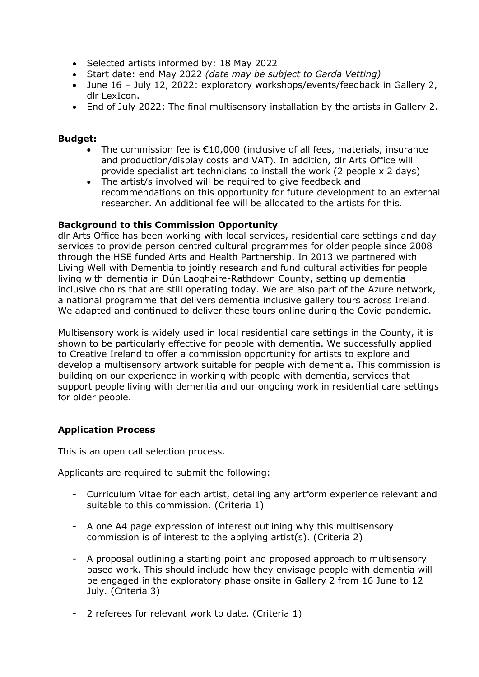- Selected artists informed by: 18 May 2022
- Start date: end May 2022 *(date may be subject to Garda Vetting)*
- June 16 July 12, 2022: exploratory workshops/events/feedback in Gallery 2, dlr LexIcon.
- End of July 2022: The final multisensory installation by the artists in Gallery 2.

## **Budget:**

- The commission fee is  $\epsilon$ 10,000 (inclusive of all fees, materials, insurance and production/display costs and VAT). In addition, dlr Arts Office will provide specialist art technicians to install the work (2 people x 2 days)
- The artist/s involved will be required to give feedback and recommendations on this opportunity for future development to an external researcher. An additional fee will be allocated to the artists for this.

#### **Background to this Commission Opportunity**

dlr Arts Office has been working with local services, residential care settings and day services to provide person centred cultural programmes for older people since 2008 through the HSE funded Arts and Health Partnership. In 2013 we partnered with Living Well with Dementia to jointly research and fund cultural activities for people living with dementia in Dún Laoghaire-Rathdown County, setting up dementia inclusive choirs that are still operating today. We are also part of the Azure network, a national programme that delivers dementia inclusive gallery tours across Ireland. We adapted and continued to deliver these tours online during the Covid pandemic.

Multisensory work is widely used in local residential care settings in the County, it is shown to be particularly effective for people with dementia. We successfully applied to Creative Ireland to offer a commission opportunity for artists to explore and develop a multisensory artwork suitable for people with dementia. This commission is building on our experience in working with people with dementia, services that support people living with dementia and our ongoing work in residential care settings for older people.

# **Application Process**

This is an open call selection process.

Applicants are required to submit the following:

- Curriculum Vitae for each artist, detailing any artform experience relevant and suitable to this commission. (Criteria 1)
- A one A4 page expression of interest outlining why this multisensory commission is of interest to the applying artist(s). (Criteria 2)
- A proposal outlining a starting point and proposed approach to multisensory based work. This should include how they envisage people with dementia will be engaged in the exploratory phase onsite in Gallery 2 from 16 June to 12 July. (Criteria 3)
- 2 referees for relevant work to date. (Criteria 1)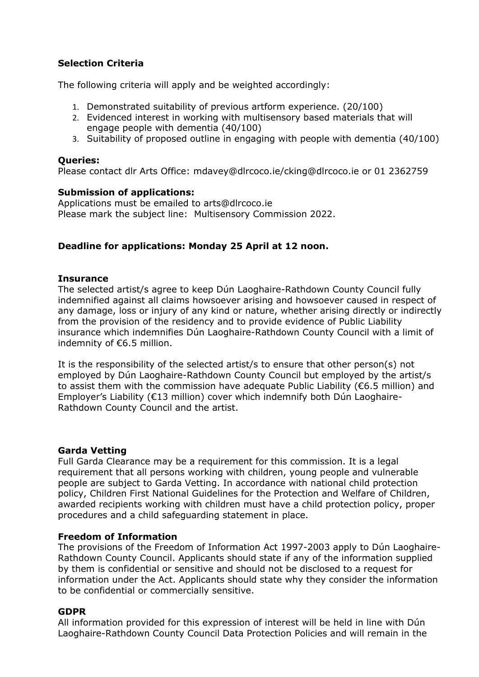# **Selection Criteria**

The following criteria will apply and be weighted accordingly:

- 1. Demonstrated suitability of previous artform experience. (20/100)
- 2. Evidenced interest in working with multisensory based materials that will engage people with dementia (40/100)
- 3. Suitability of proposed outline in engaging with people with dementia (40/100)

### **Queries:**

Please contact dlr Arts Office: [mdavey@dlrcoco.ie/](mailto:mdavey@dlrcoco.ie)cking@dlrcoco.ie or 01 2362759

### **Submission of applications:**

Applications must be emailed to [arts@dlrcoco.ie](mailto:mdavey@dlrcoco.ie) Please mark the subject line: Multisensory Commission 2022.

# **Deadline for applications: Monday 25 April at 12 noon.**

### **Insurance**

The selected artist/s agree to keep Dún Laoghaire-Rathdown County Council fully indemnified against all claims howsoever arising and howsoever caused in respect of any damage, loss or injury of any kind or nature, whether arising directly or indirectly from the provision of the residency and to provide evidence of Public Liability insurance which indemnifies Dún Laoghaire-Rathdown County Council with a limit of indemnity of €6.5 million.

It is the responsibility of the selected artist/s to ensure that other person(s) not employed by Dún Laoghaire-Rathdown County Council but employed by the artist/s to assist them with the commission have adequate Public Liability ( $\epsilon$ 6.5 million) and Employer's Liability (€13 million) cover which indemnify both Dún Laoghaire-Rathdown County Council and the artist.

#### **Garda Vetting**

Full Garda Clearance may be a requirement for this commission. It is a legal requirement that all persons working with children, young people and vulnerable people are subject to Garda Vetting. In accordance with national child protection policy, Children First National Guidelines for the Protection and Welfare of Children, awarded recipients working with children must have a child protection policy, proper procedures and a child safeguarding statement in place.

#### **Freedom of Information**

The provisions of the Freedom of Information Act 1997-2003 apply to Dún Laoghaire-Rathdown County Council. Applicants should state if any of the information supplied by them is confidential or sensitive and should not be disclosed to a request for information under the Act. Applicants should state why they consider the information to be confidential or commercially sensitive.

#### **GDPR**

All information provided for this expression of interest will be held in line with Dún Laoghaire-Rathdown County Council Data Protection Policies and will remain in the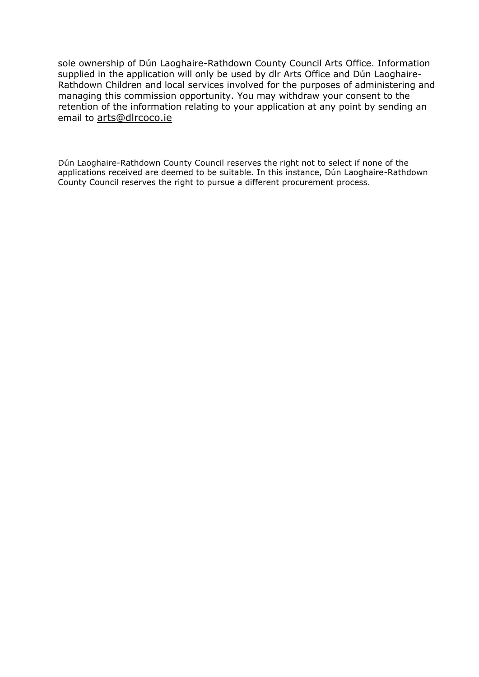sole ownership of Dún Laoghaire-Rathdown County Council Arts Office. Information supplied in the application will only be used by dlr Arts Office and Dún Laoghaire-Rathdown Children and local services involved for the purposes of administering and managing this commission opportunity. You may withdraw your consent to the retention of the information relating to your application at any point by sending an email to [arts@dlrcoco.ie](mailto:arts@dlrcoco.ie)

Dún Laoghaire-Rathdown County Council reserves the right not to select if none of the applications received are deemed to be suitable. In this instance, Dún Laoghaire-Rathdown County Council reserves the right to pursue a different procurement process.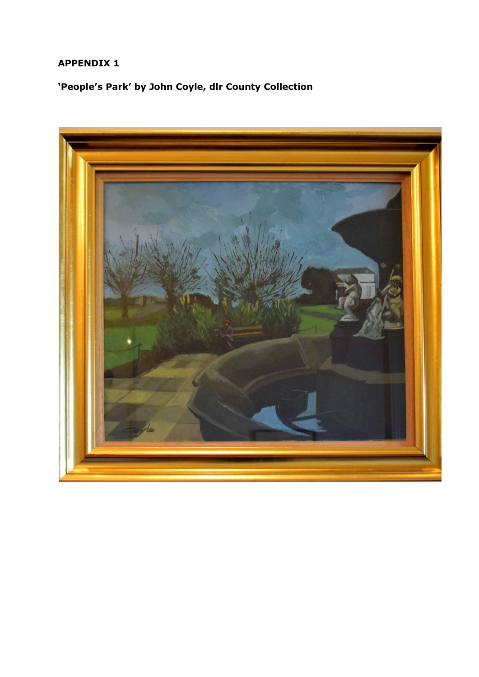# **APPENDIX 1**

**'People's Park' by John Coyle, dlr County Collection**

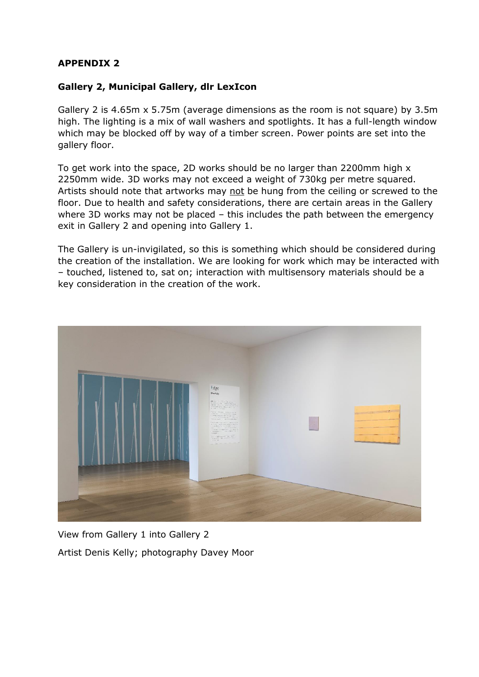# **APPENDIX 2**

# **Gallery 2, Municipal Gallery, dlr LexIcon**

Gallery 2 is 4.65m x 5.75m (average dimensions as the room is not square) by 3.5m high. The lighting is a mix of wall washers and spotlights. It has a full-length window which may be blocked off by way of a timber screen. Power points are set into the gallery floor.

To get work into the space, 2D works should be no larger than 2200mm high x 2250mm wide. 3D works may not exceed a weight of 730kg per metre squared. Artists should note that artworks may not be hung from the ceiling or screwed to the floor. Due to health and safety considerations, there are certain areas in the Gallery where 3D works may not be placed – this includes the path between the emergency exit in Gallery 2 and opening into Gallery 1.

The Gallery is un-invigilated, so this is something which should be considered during the creation of the installation. We are looking for work which may be interacted with – touched, listened to, sat on; interaction with multisensory materials should be a key consideration in the creation of the work.



View from Gallery 1 into Gallery 2 Artist Denis Kelly; photography Davey Moor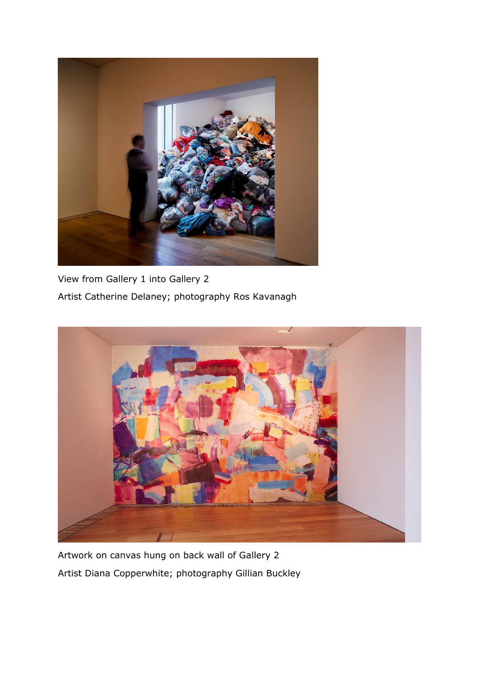

View from Gallery 1 into Gallery 2 Artist Catherine Delaney; photography Ros Kavanagh



Artwork on canvas hung on back wall of Gallery 2 Artist Diana Copperwhite; photography Gillian Buckley